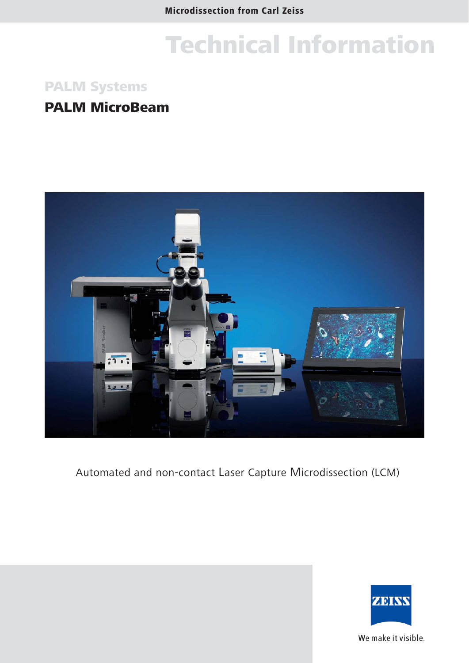## PALM Systems

## PALM MicroBeam



Automated and non-contact Laser Capture Microdissection (LCM)



We make it visible.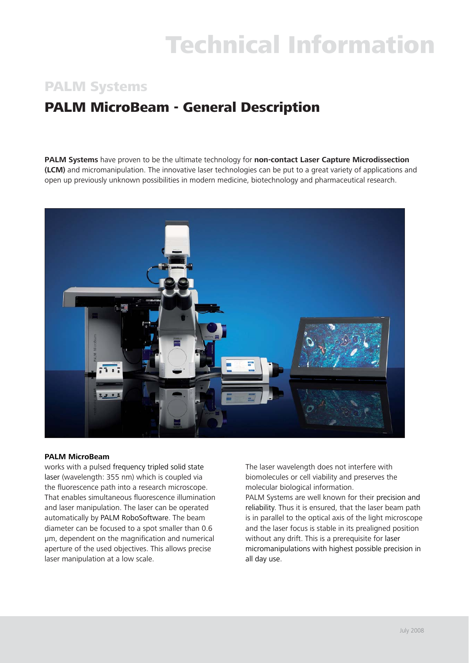## PALM Systems

# PALM MicroBeam - General Description

**PALM Systems** have proven to be the ultimate technology for **non-contact Laser Capture Microdissection (LCM)** and micromanipulation. The innovative laser technologies can be put to a great variety of applications and open up previously unknown possibilities in modern medicine, biotechnology and pharmaceutical research.



### **PALM MicroBeam**

works with a pulsed frequency tripled solid state laser (wavelength: 355 nm) which is coupled via the fluorescence path into a research microscope. That enables simultaneous fluorescence illumination and laser manipulation. The laser can be operated automatically by PALM RoboSoftware. The beam diameter can be focused to a spot smaller than 0.6 μm, dependent on the magnification and numerical aperture of the used objectives. This allows precise laser manipulation at a low scale.

The laser wavelength does not interfere with biomolecules or cell viability and preserves the molecular biological information.

PALM Systems are well known for their precision and reliability. Thus it is ensured, that the laser beam path is in parallel to the optical axis of the light microscope and the laser focus is stable in its prealigned position without any drift. This is a prerequisite for laser micromanipulations with highest possible precision in all day use.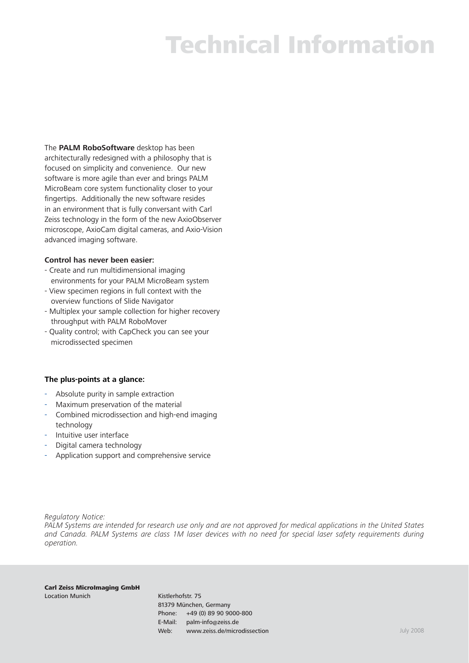The **PALM RoboSoftware** desktop has been architecturally redesigned with a philosophy that is focused on simplicity and convenience. Our new software is more agile than ever and brings PALM MicroBeam core system functionality closer to your fingertips. Additionally the new software resides in an environment that is fully conversant with Carl Zeiss technology in the form of the new AxioObserver microscope, AxioCam digital cameras, and Axio-Vision advanced imaging software.

### **Control has never been easier:**

- Create and run multidimensional imaging environments for your PALM MicroBeam system
- View specimen regions in full context with the overview functions of Slide Navigator
- Multiplex your sample collection for higher recovery throughput with PALM RoboMover
- Quality control; with CapCheck you can see your microdissected specimen

### **The plus-points at a glance:**

- Absolute purity in sample extraction
- Maximum preservation of the material
- Combined microdissection and high-end imaging technology
- Intuitive user interface
- Digital camera technology
- Application support and comprehensive service

*Regulatory Notice:*

*PALM Systems are intended for research use only and are not approved for medical applications in the United States and Canada. PALM Systems are class 1M laser devices with no need for special laser safety requirements during operation.* 

Carl Zeiss MicroImaging GmbH Location Munich **Kistlerhofstr.** 75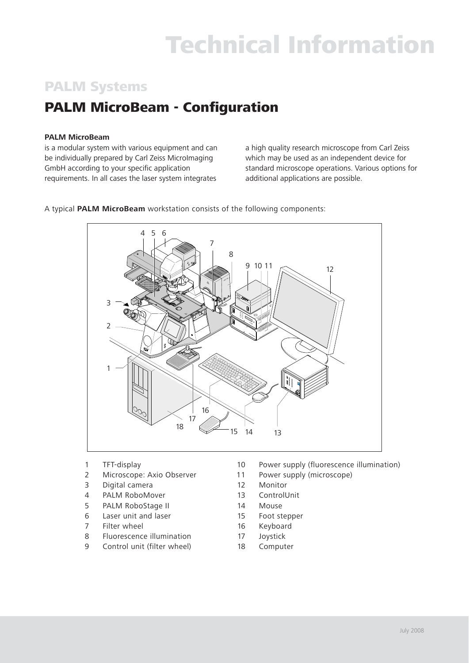# PALM Systems

# **PALM MicroBeam - Configuration**

## **PALM MicroBeam**

is a modular system with various equipment and can be individually prepared by Carl Zeiss MicroImaging GmbH according to your specific application requirements. In all cases the laser system integrates

a high quality research microscope from Carl Zeiss which may be used as an independent device for standard microscope operations. Various options for additional applications are possible.



A typical **PALM MicroBeam** workstation consists of the following components:

- 
- 
- 3 Digital camera 12 Monitor
- 4 PALM RoboMover 13 ControlUnit
- 5 PALM RoboStage II 14 Mouse
- 6 Laser unit and laser 15 Foot stepper
- 7 Filter wheel 16 Keyboard
- 8 Fluorescence illumination 17 Joystick
- 9 Control unit (filter wheel) 18 Computer
- 1 TFT-display 10 Power supply (fluorescence illumination)
- 2 Microscope: Axio Observer 11 Power supply (microscope)
	-
	-
	-
	-
	-
	-
	-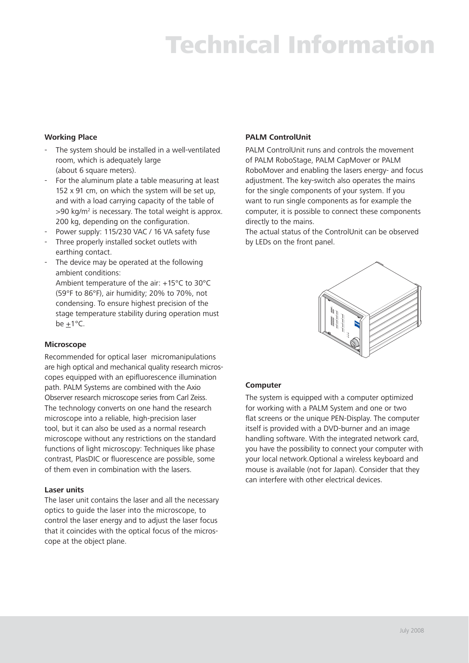### **Working Place**

- The system should be installed in a well-ventilated room, which is adequately large (about 6 square meters).
- For the aluminum plate a table measuring at least 152 x 91 cm, on which the system will be set up, and with a load carrying capacity of the table of  $>$ 90 kg/m<sup>2</sup> is necessary. The total weight is approx. 200 kg, depending on the configuration.
- Power supply: 115/230 VAC / 16 VA safety fuse
- Three properly installed socket outlets with earthing contact.
- The device may be operated at the following ambient conditions:

 Ambient temperature of the air: +15°C to 30°C (59°F to 86°F), air humidity; 20% to 70%, not condensing. To ensure highest precision of the stage temperature stability during operation must be  $+1$ °C.

### **Microscope**

Recommended for optical laser micromanipulations are high optical and mechanical quality research microscopes equipped with an epifluorescence illumination path. PALM Systems are combined with the Axio Observer research microscope series from Carl Zeiss. The technology converts on one hand the research microscope into a reliable, high-precision laser tool, but it can also be used as a normal research microscope without any restrictions on the standard functions of light microscopy: Techniques like phase contrast, PlasDIC or fluorescence are possible, some of them even in combination with the lasers.

### **Laser units**

The laser unit contains the laser and all the necessary optics to guide the laser into the microscope, to control the laser energy and to adjust the laser focus that it coincides with the optical focus of the microscope at the object plane.

### **PALM ControlUnit**

PALM ControlUnit runs and controls the movement of PALM RoboStage, PALM CapMover or PALM RoboMover and enabling the lasers energy- and focus adjustment. The key-switch also operates the mains for the single components of your system. If you want to run single components as for example the computer, it is possible to connect these components directly to the mains.

The actual status of the ControlUnit can be observed by LEDs on the front panel.



### **Computer**

The system is equipped with a computer optimized for working with a PALM System and one or two flat screens or the unique PEN-Display. The computer itself is provided with a DVD-burner and an image handling software. With the integrated network card, you have the possibility to connect your computer with your local network.Optional a wireless keyboard and mouse is available (not for Japan). Consider that they can interfere with other electrical devices.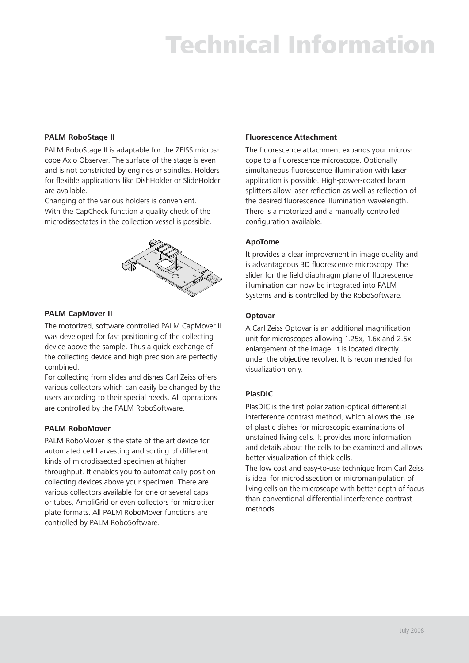### **PALM RoboStage II**

PALM RoboStage II is adaptable for the ZEISS microscope Axio Observer. The surface of the stage is even and is not constricted by engines or spindles. Holders for flexible applications like DishHolder or SlideHolder are available.

Changing of the various holders is convenient. With the CapCheck function a quality check of the microdissectates in the collection vessel is possible.



### **PALM CapMover II**

The motorized, software controlled PALM CapMover II was developed for fast positioning of the collecting device above the sample. Thus a quick exchange of the collecting device and high precision are perfectly combined.

For collecting from slides and dishes Carl Zeiss offers various collectors which can easily be changed by the users according to their special needs. All operations are controlled by the PALM RoboSoftware.

### **PALM RoboMover**

PALM RoboMover is the state of the art device for automated cell harvesting and sorting of different kinds of microdissected specimen at higher throughput. It enables you to automatically position collecting devices above your specimen. There are various collectors available for one or several caps or tubes, AmpliGrid or even collectors for microtiter plate formats. All PALM RoboMover functions are controlled by PALM RoboSoftware.

### **Fluorescence Attachment**

The fluorescence attachment expands your microscope to a fluorescence microscope. Optionally simultaneous fluorescence illumination with laser application is possible. High-power-coated beam splitters allow laser reflection as well as reflection of the desired fluorescence illumination wavelength. There is a motorized and a manually controlled configuration available.

### **ApoTome**

It provides a clear improvement in image quality and is advantageous 3D fluorescence microscopy. The slider for the field diaphragm plane of fluorescence illumination can now be integrated into PALM Systems and is controlled by the RoboSoftware.

### **Optovar**

A Carl Zeiss Optovar is an additional magnification unit for microscopes allowing 1.25x, 1.6x and 2.5x enlargement of the image. It is located directly under the objective revolver. It is recommended for visualization only.

### **PlasDIC**

PlasDIC is the first polarization-optical differential interference contrast method, which allows the use of plastic dishes for microscopic examinations of unstained living cells. It provides more information and details about the cells to be examined and allows better visualization of thick cells.

The low cost and easy-to-use technique from Carl Zeiss is ideal for microdissection or micromanipulation of living cells on the microscope with better depth of focus than conventional differential interference contrast methods.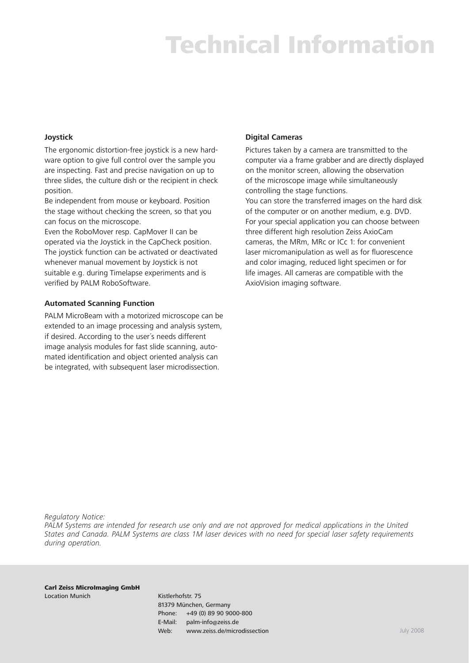### **Joystick**

The ergonomic distortion-free joystick is a new hardware option to give full control over the sample you are inspecting. Fast and precise navigation on up to three slides, the culture dish or the recipient in check position.

Be independent from mouse or keyboard. Position the stage without checking the screen, so that you can focus on the microscope.

Even the RoboMover resp. CapMover II can be operated via the Joystick in the CapCheck position. The joystick function can be activated or deactivated whenever manual movement by Joystick is not suitable e.g. during Timelapse experiments and is verified by PALM RoboSoftware.

### **Automated Scanning Function**

PALM MicroBeam with a motorized microscope can be extended to an image processing and analysis system, if desired. According to the user´s needs different image analysis modules for fast slide scanning, automated identification and object oriented analysis can be integrated, with subsequent laser microdissection.

### **Digital Cameras**

Pictures taken by a camera are transmitted to the computer via a frame grabber and are directly displayed on the monitor screen, allowing the observation of the microscope image while simultaneously controlling the stage functions. You can store the transferred images on the hard disk of the computer or on another medium, e.g. DVD. For your special application you can choose between three different high resolution Zeiss AxioCam cameras, the MRm, MRc or ICc 1: for convenient laser micromanipulation as well as for fluorescence and color imaging, reduced light specimen or for life images. All cameras are compatible with the AxioVision imaging software.

*Regulatory Notice:*

*PALM Systems are intended for research use only and are not approved for medical applications in the United States and Canada. PALM Systems are class 1M laser devices with no need for special laser safety requirements during operation.* 

Carl Zeiss MicroImaging GmbH Location Munich **Kistlerhofstr.** 75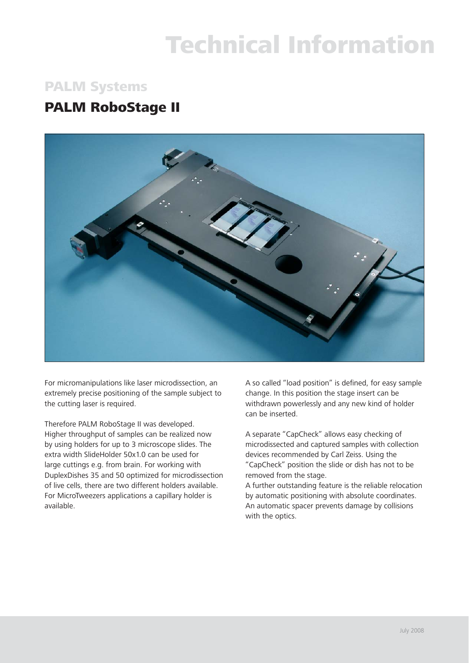## PALM Systems

## PALM RoboStage II



For micromanipulations like laser microdissection, an extremely precise positioning of the sample subject to the cutting laser is required.

Therefore PALM RoboStage II was developed. Higher throughput of samples can be realized now by using holders for up to 3 microscope slides. The extra width SlideHolder 50x1.0 can be used for large cuttings e.g. from brain. For working with DuplexDishes 35 and 50 optimized for microdissection of live cells, there are two different holders available. For MicroTweezers applications a capillary holder is available.

A so called "load position" is defined, for easy sample change. In this position the stage insert can be withdrawn powerlessly and any new kind of holder can be inserted.

A separate "CapCheck" allows easy checking of microdissected and captured samples with collection devices recommended by Carl Zeiss. Using the "CapCheck" position the slide or dish has not to be removed from the stage.

A further outstanding feature is the reliable relocation by automatic positioning with absolute coordinates. An automatic spacer prevents damage by collisions with the optics.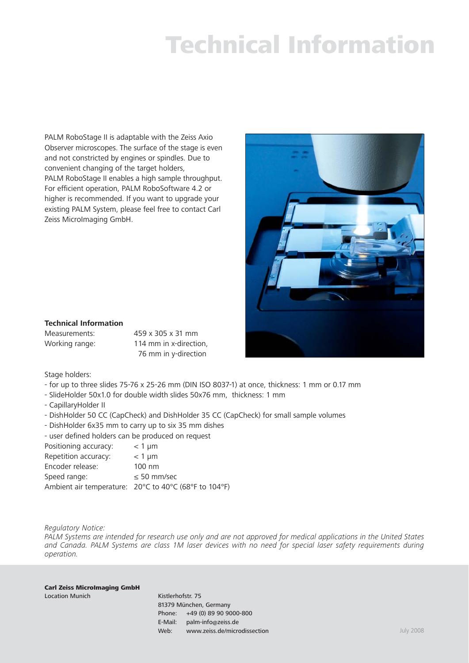PALM RoboStage II is adaptable with the Zeiss Axio Observer microscopes. The surface of the stage is even and not constricted by engines or spindles. Due to convenient changing of the target holders, PALM RoboStage II enables a high sample throughput. For efficient operation, PALM RoboSoftware 4.2 or higher is recommended. If you want to upgrade your existing PALM System, please feel free to contact Carl Zeiss MicroImaging GmbH.



## **Technical Information**

Measurements: 459 x 305 x 31 mm Working range: 114 mm in x-direction, 76 mm in y-direction

Stage holders:

- for up to three slides 75-76 x 25-26 mm (DIN ISO 8037-1) at once, thickness: 1 mm or 0.17 mm
- SlideHolder 50x1.0 for double width slides 50x76 mm, thickness: 1 mm
- CapillaryHolder II
- DishHolder 50 CC (CapCheck) and DishHolder 35 CC (CapCheck) for small sample volumes
- DishHolder 6x35 mm to carry up to six 35 mm dishes
- user defined holders can be produced on request

| Positioning accuracy: | $<$ 1 µm                                              |
|-----------------------|-------------------------------------------------------|
| Repetition accuracy:  | $<$ 1 µm                                              |
| Encoder release:      | $100 \text{ nm}$                                      |
| Speed range:          | $\leq 50$ mm/sec                                      |
|                       | Ambient air temperature: 20°C to 40°C (68°F to 104°F) |

#### *Regulatory Notice:*

*PALM Systems are intended for research use only and are not approved for medical applications in the United States and Canada. PALM Systems are class 1M laser devices with no need for special laser safety requirements during operation.* 

Carl Zeiss MicroImaging GmbH Location Munich **Kistlerhofstr.** 75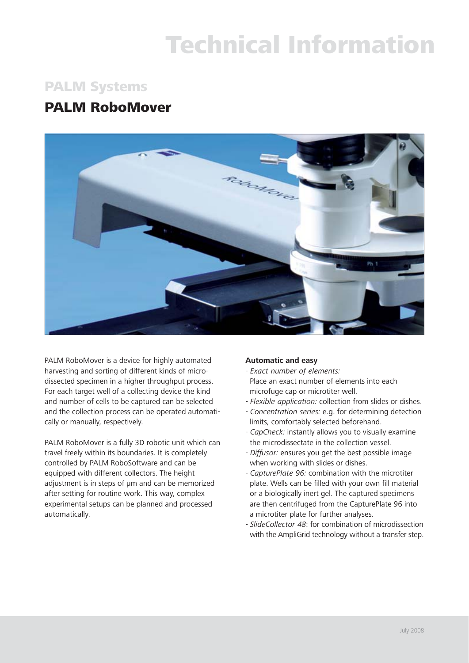## PALM Systems

## PALM RoboMover



PALM RoboMover is a device for highly automated harvesting and sorting of different kinds of microdissected specimen in a higher throughput process. For each target well of a collecting device the kind and number of cells to be captured can be selected and the collection process can be operated automatically or manually, respectively.

PALM RoboMover is a fully 3D robotic unit which can travel freely within its boundaries. It is completely controlled by PALM RoboSoftware and can be equipped with different collectors. The height adjustment is in steps of μm and can be memorized after setting for routine work. This way, complex experimental setups can be planned and processed automatically.

## **Automatic and easy**

- *Exact number of elements:* Place an exact number of elements into each microfuge cap or microtiter well.
- *Flexible application:* collection from slides or dishes.
- *Concentration series:* e.g. for determining detection limits, comfortably selected beforehand.
- *CapCheck:* instantly allows you to visually examine the microdissectate in the collection vessel.
- *Diffusor:* ensures you get the best possible image when working with slides or dishes.
- *CapturePlate 96:* combination with the microtiter plate. Wells can be filled with your own fill material or a biologically inert gel. The captured specimens are then centrifuged from the CapturePlate 96 into a microtiter plate for further analyses.
- *SlideCollector 48*: for combination of microdissection with the AmpliGrid technology without a transfer step.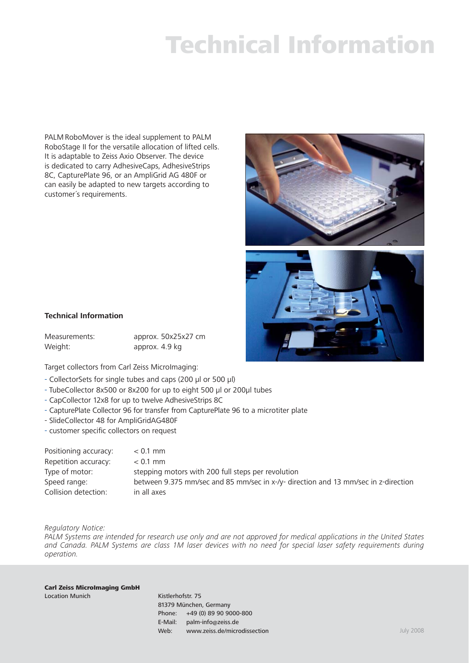PALM RoboMover is the ideal supplement to PALM RoboStage II for the versatile allocation of lifted cells. It is adaptable to Zeiss Axio Observer. The device is dedicated to carry AdhesiveCaps, AdhesiveStrips 8C, CapturePlate 96, or an AmpliGrid AG 480F or can easily be adapted to new targets according to customer´s requirements.





#### **Technical Information**

| Measurements: | approx. 50x25x27 cm |
|---------------|---------------------|
| Weight:       | approx. 4.9 kg      |

Target collectors from Carl Zeiss MicroImaging:

- CollectorSets for single tubes and caps (200 μl or 500 μl)
- TubeCollector 8x500 or 8x200 for up to eight 500 μl or 200μl tubes
- CapCollector 12x8 for up to twelve AdhesiveStrips 8C
- CapturePlate Collector 96 for transfer from CapturePlate 96 to a microtiter plate
- SlideCollector 48 for AmpliGridAG480F
- customer specific collectors on request

| Positioning accuracy: | $< 0.1$ mm                                                                         |
|-----------------------|------------------------------------------------------------------------------------|
| Repetition accuracy:  | $< 0.1$ mm                                                                         |
| Type of motor:        | stepping motors with 200 full steps per revolution                                 |
| Speed range:          | between 9.375 mm/sec and 85 mm/sec in x-/y- direction and 13 mm/sec in z-direction |
| Collision detection:  | in all axes                                                                        |

*Regulatory Notice:*

*PALM Systems are intended for research use only and are not approved for medical applications in the United States and Canada. PALM Systems are class 1M laser devices with no need for special laser safety requirements during operation.* 

#### Carl Zeiss MicroImaging GmbH Location Munich **Kistlerhofstr.** 75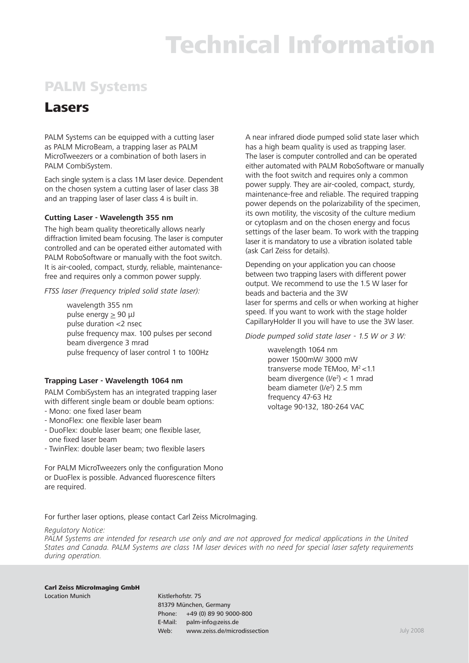# PALM Systems

## Lasers

PALM Systems can be equipped with a cutting laser as PALM MicroBeam, a trapping laser as PALM MicroTweezers or a combination of both lasers in PALM CombiSystem.

Each single system is a class 1M laser device. Dependent on the chosen system a cutting laser of laser class 3B and an trapping laser of laser class 4 is built in.

### **Cutting Laser - Wavelength 355 nm**

The high beam quality theoretically allows nearly diffraction limited beam focusing. The laser is computer controlled and can be operated either automated with PALM RoboSoftware or manually with the foot switch. It is air-cooled, compact, sturdy, reliable, maintenancefree and requires only a common power supply.

*FTSS laser (Frequency tripled solid state laser):*

wavelength 355 nm pulse energy  $\geq 90 \mu J$ pulse duration <2 nsec pulse frequency max. 100 pulses per second beam divergence 3 mrad pulse frequency of laser control 1 to 100Hz

### **Trapping Laser - Wavelength 1064 nm**

PALM CombiSystem has an integrated trapping laser with different single beam or double beam options:

- Mono: one fixed laser beam
- MonoFlex: one flexible laser beam
- DuoFlex: double laser beam; one flexible laser, one fixed laser beam
- TwinFlex: double laser beam; two flexible lasers

For PALM MicroTweezers only the configuration Mono or DuoFlex is possible. Advanced fluorescence filters are required.

A near infrared diode pumped solid state laser which has a high beam quality is used as trapping laser. The laser is computer controlled and can be operated either automated with PALM RoboSoftware or manually with the foot switch and requires only a common power supply. They are air-cooled, compact, sturdy, maintenance-free and reliable. The required trapping power depends on the polarizability of the specimen, its own motility, the viscosity of the culture medium or cytoplasm and on the chosen energy and focus settings of the laser beam. To work with the trapping laser it is mandatory to use a vibration isolated table (ask Carl Zeiss for details).

Depending on your application you can choose between two trapping lasers with different power output. We recommend to use the 1.5 W laser for beads and bacteria and the 3W laser for sperms and cells or when working at higher speed. If you want to work with the stage holder CapillaryHolder II you will have to use the 3W laser.

*Diode pumped solid state laser - 1.5 W or 3 W:*

wavelength 1064 nm power 1500mW/ 3000 mW transverse mode TEMoo,  $M^2 < 1.1$ beam divergence  $(I/e<sup>2</sup>) < 1$  mrad beam diameter (I/e<sup>2</sup>) 2.5 mm frequency 47-63 Hz voltage 90-132, 180-264 VAC

For further laser options, please contact Carl Zeiss MicroImaging.

### *Regulatory Notice:*

*PALM Systems are intended for research use only and are not approved for medical applications in the United States and Canada. PALM Systems are class 1M laser devices with no need for special laser safety requirements during operation.*

#### Carl Zeiss MicroImaging GmbH Location Munich **Kistlerhofstr.** 75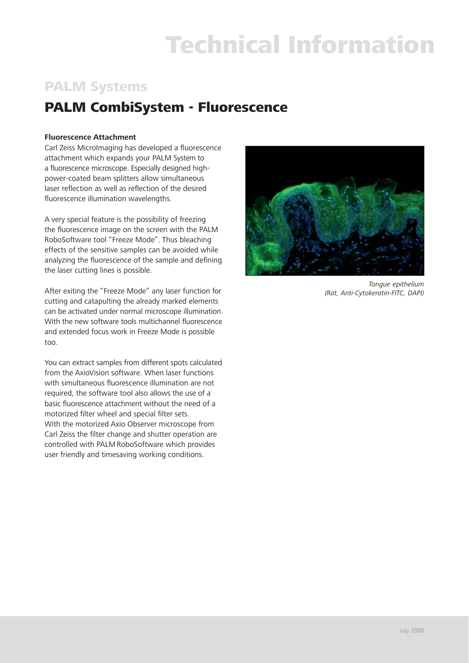# PALM Systems

# PALM CombiSystem - Fluorescence

### **Fluorescence Attachment**

Carl Zeiss Microlmaging has developed a fluorescence attachment which expands your PALM System to a fluorescence microscope. Especially designed highpower-coated beam splitters allow simultaneous laser reflection as well as reflection of the desired fluorescence illumination wavelengths.

A very special feature is the possibility of freezing the fluorescence image on the screen with the PALM RoboSoftware tool "Freeze Mode". Thus bleaching effects of the sensitive samples can be avoided while analyzing the fluorescence of the sample and defining the laser cutting lines is possible.

After exiting the "Freeze Mode" any laser function for cutting and catapulting the already marked elements can be activated under normal microscope illumination. With the new software tools multichannel fluorescence and extended focus work in Freeze Mode is possible too.

You can extract samples from different spots calculated from the AxioVision software. When laser functions with simultaneous fluorescence illumination are not required, the software tool also allows the use of a basic fluorescence attachment without the need of a motorized filter wheel and special filter sets. With the motorized Axio Observer microscope from Carl Zeiss the filter change and shutter operation are controlled with PALM RoboSoftware which provides user friendly and timesaving working conditions.



*Tongue epithelium (Rat, Anti-Cytokeratin-FITC, DAPI)*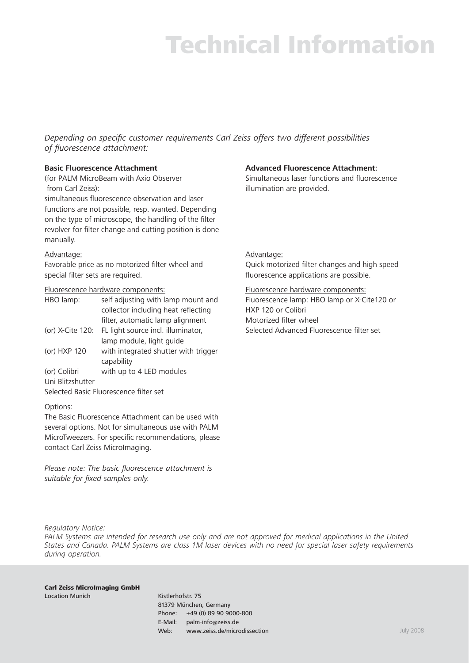*Depending on specific customer requirements Carl Zeiss offers two different possibilities* of fluorescence attachment:

### **Basic Fluorescence Attachment**

(for PALM MicroBeam with Axio Observer from Carl Zeiss):

simultaneous fluorescence observation and laser functions are not possible, resp. wanted. Depending on the type of microscope, the handling of the filter revolver for filter change and cutting position is done manually.

### Advantage:

Favorable price as no motorized filter wheel and special filter sets are required.

### Fluorescence hardware components:

| HBO lamp:                              | self adjusting with lamp mount and   |  |
|----------------------------------------|--------------------------------------|--|
|                                        | collector including heat reflecting  |  |
|                                        | filter, automatic lamp alignment     |  |
| (or) X-Cite 120:                       | FL light source incl. illuminator,   |  |
|                                        | lamp module, light quide             |  |
| (or) HXP 120                           | with integrated shutter with trigger |  |
|                                        | capability                           |  |
| (or) Colibri                           | with up to 4 LED modules             |  |
| Uni Blitzshutter                       |                                      |  |
| Selected Basic Eluorescence filter set |                                      |  |

### Options:

The Basic Fluorescence Attachment can be used with several options. Not for simultaneous use with PALM MicroTweezers. For specific recommendations, please contact Carl Zeiss MicroImaging.

*Please note: The basic fluorescence attachment is* suitable for fixed samples only.

## **Advanced Fluorescence Attachment:**

Simultaneous laser functions and fluorescence illumination are provided.

### Advantage:

Quick motorized filter changes and high speed fluorescence applications are possible.

Fluorescence hardware components:

Fluorescence lamp: HBO lamp or X-Cite120 or HXP 120 or Colibri Motorized filter wheel Selected Advanced Fluorescence filter set

*Regulatory Notice:*

*PALM Systems are intended for research use only and are not approved for medical applications in the United States and Canada. PALM Systems are class 1M laser devices with no need for special laser safety requirements during operation.* 

#### Carl Zeiss MicroImaging GmbH Location Munich **Kistlerhofstr.** 75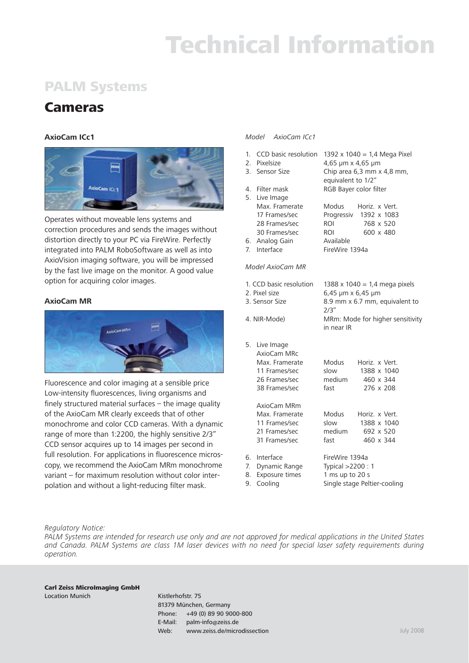# PALM Systems

## Cameras

## **AxioCam ICc1**



Operates without moveable lens systems and correction procedures and sends the images without distortion directly to your PC via FireWire. Perfectly integrated into PALM RoboSoftware as well as into AxioVision imaging software, you will be impressed by the fast live image on the monitor. A good value option for acquiring color images.

### **AxioCam MR**



Fluorescence and color imaging at a sensible price Low-intensity fluorescences, living organisms and finely structured material surfaces  $-$  the image quality of the AxioCam MR clearly exceeds that of other monochrome and color CCD cameras. With a dynamic range of more than 1:2200, the highly sensitive 2/3" CCD sensor acquires up to 14 images per second in full resolution. For applications in fluorescence microscopy, we recommend the AxioCam MRm monochrome variant – for maximum resolution without color interpolation and without a light-reducing filter mask.

#### *Model AxioCam ICc1*

- 1. CCD basic resolution  $1392 \times 1040 = 1.4$  Mega Pixel 2. Pixelsize 4,65 μm x 4,65 μm 3. Sensor Size Chip area 6,3 mm x 4,8 mm, equivalent to 1/2" 4. Filter mask RGB Bayer color filter 5. Live Image Max. Framerate Modus Horiz. x Vert. 17 Frames/sec Progressiv 1392 x 1083 28 Frames/sec ROI 768 x 520 30 Frames/sec ROI 600 x 480 6. Analog Gain Available 7. Interface FireWire 1394a *Model AxioCam MR* 1. CCD basic resolution  $1388 \times 1040 = 1,4$  mega pixels 2. Pixel size 6,45 μm x 6,45 μm
- 3. Sensor Size 8.9 mm x 6.7 mm, equivalent to  $2/3"$ 4. NIR-Mode) MRm: Mode for higher sensitivity in near IR 5. Live Image AxioCam MRc Max. Framerate Modus Horiz. x Vert. 11 Frames/sec slow 1388 x 1040 26 Frames/sec medium 460 x 344 38 Frames/sec fast 276 x 208 AxioCam MRm Max. Framerate Modus Horiz. x Vert. 11 Frames/sec slow 1388 x 1040 21 Frames/sec medium 692 x 520 31 Frames/sec fast 460 x 344 6. Interface FireWire 1394a
- 
- 
- 9. Cooling Single stage Peltier-cooling

7. Dynamic Range Typical >2200 : 1 8. Exposure times 1 ms up to 20 s

#### *Regulatory Notice:*

*PALM Systems are intended for research use only and are not approved for medical applications in the United States and Canada. PALM Systems are class 1M laser devices with no need for special laser safety requirements during operation.* 

#### Carl Zeiss MicroImaging GmbH Location Munich **Kistlerhofstr.** 75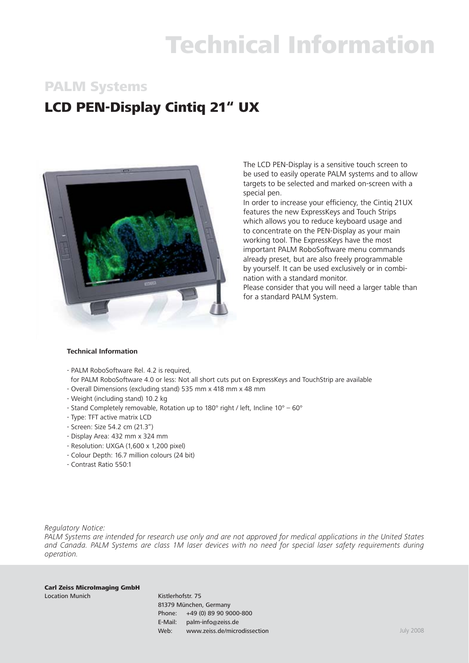## PALM Systems

# LCD PEN-Display Cintiq 21" UX



The LCD PEN-Display is a sensitive touch screen to be used to easily operate PALM systems and to allow targets to be selected and marked on-screen with a special pen.

In order to increase your efficiency, the Cintig 21UX features the new ExpressKeys and Touch Strips which allows you to reduce keyboard usage and to concentrate on the PEN-Display as your main working tool. The ExpressKeys have the most important PALM RoboSoftware menu commands already preset, but are also freely programmable by yourself. It can be used exclusively or in combination with a standard monitor.

Please consider that you will need a larger table than for a standard PALM System.

#### **Technical Information**

- PALM RoboSoftware Rel. 4.2 is required,
- for PALM RoboSoftware 4.0 or less: Not all short cuts put on ExpressKeys and TouchStrip are available
- Overall Dimensions (excluding stand) 535 mm x 418 mm x 48 mm
- Weight (including stand) 10.2 kg
- Stand Completely removable, Rotation up to 180° right / left, Incline 10° 60°
- Type: TFT active matrix LCD
- Screen: Size 54.2 cm (21.3")
- Display Area: 432 mm x 324 mm
- Resolution: UXGA (1,600 x 1,200 pixel)
- Colour Depth: 16.7 million colours (24 bit)
- Contrast Ratio 550:1

*Regulatory Notice:*

*PALM Systems are intended for research use only and are not approved for medical applications in the United States and Canada. PALM Systems are class 1M laser devices with no need for special laser safety requirements during operation.* 

Carl Zeiss MicroImaging GmbH Location Munich **Kistlerhofstr.** 75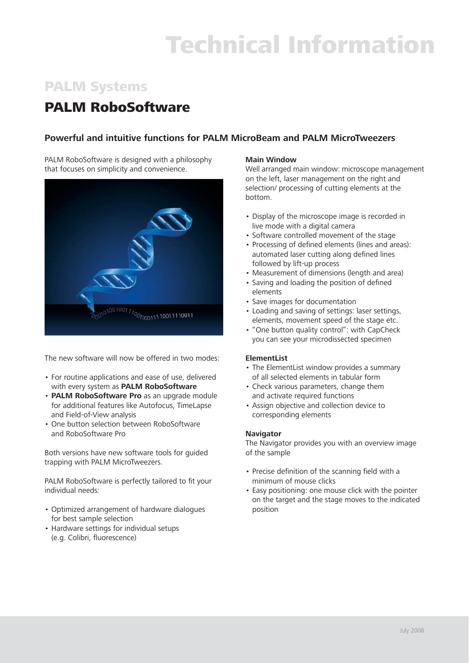# PALM Systems

## PALM RoboSoftware

## **Powerful and intuitive functions for PALM MicroBeam and PALM MicroTweezers**

PALM RoboSoftware is designed with a philosophy that focuses on simplicity and convenience.



The new software will now be offered in two modes:

- For routine applications and ease of use, delivered with every system as **PALM RoboSoftware**
- **PALM RoboSoftware Pro** as an upgrade module for additional features like Autofocus, TimeLapse and Field-of-View analysis
- One button selection between RoboSoftware and RoboSoftware Pro

Both versions have new software tools for guided trapping with PALM MicroTweezers.

PALM RoboSoftware is perfectly tailored to fit your individual needs:

- Optimized arrangement of hardware dialogues for best sample selection
- Hardware settings for individual setups (e.g. Colibri, fluorescence)

### **Main Window**

Well arranged main window: microscope management on the left, laser management on the right and selection/ processing of cutting elements at the bottom.

- Display of the microscope image is recorded in live mode with a digital camera
- Software controlled movement of the stage
- Processing of defined elements (lines and areas): automated laser cutting along defined lines followed by lift-up process
- Measurement of dimensions (length and area)
- Saving and loading the position of defined elements
- Save images for documentation
- Loading and saving of settings: laser settings, elements, movement speed of the stage etc.
- "One button quality control": with CapCheck you can see your microdissected specimen

### **ElementList**

- The ElementList window provides a summary of all selected elements in tabular form
- Check various parameters, change them and activate required functions
- Assign objective and collection device to corresponding elements

### **Navigator**

The Navigator provides you with an overview image of the sample

- Precise definition of the scanning field with a minimum of mouse clicks
- Easy positioning: one mouse click with the pointer on the target and the stage moves to the indicated position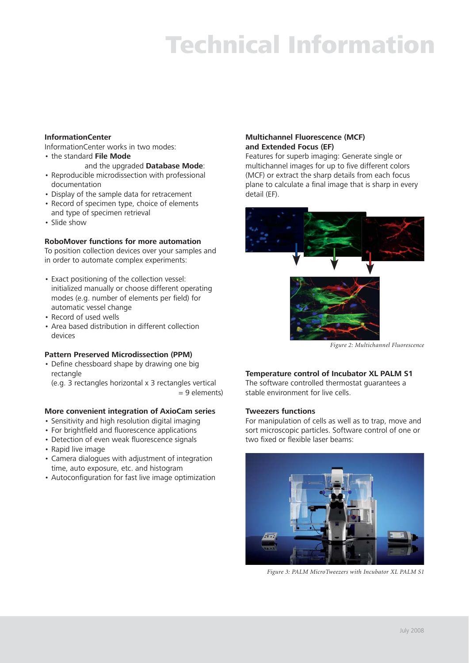### **InformationCenter**

InformationCenter works in two modes:

• the standard **File Mode**

and the upgraded **Database Mode**:

- Reproducible microdissection with professional documentation
- Display of the sample data for retracement
- Record of specimen type, choice of elements and type of specimen retrieval
- Slide show

### **RoboMover functions for more automation**

To position collection devices over your samples and in order to automate complex experiments:

- Exact positioning of the collection vessel: initialized manually or choose different operating modes (e.g. number of elements per field) for automatic vessel change
- Record of used wells
- Area based distribution in different collection devices

### **Pattern Preserved Microdissection (PPM)**

• Define chessboard shape by drawing one big rectangle

 (e.g. 3 rectangles horizontal x 3 rectangles vertical = 9 elements)

### **More convenient integration of AxioCam series**

- Sensitivity and high resolution digital imaging
- For brightfield and fluorescence applications
- Detection of even weak fluorescence signals
- Rapid live image
- Camera dialogues with adjustment of integration time, auto exposure, etc. and histogram
- Autoconfiguration for fast live image optimization

### **Multichannel Fluorescence (MCF) and Extended Focus (EF)**

Features for superb imaging: Generate single or multichannel images for up to five different colors (MCF) or extract the sharp details from each focus plane to calculate a final image that is sharp in every detail (EF).



*Figure 2: Multichannel Fluorescence*

### **Temperature control of Incubator XL PALM S1**

The software controlled thermostat guarantees a stable environment for live cells.

#### **Tweezers functions**

For manipulation of cells as well as to trap, move and sort microscopic particles. Software control of one or two fixed or flexible laser beams:



*Figure 3: PALM MicroTweezers with Incubator XL PALM S1*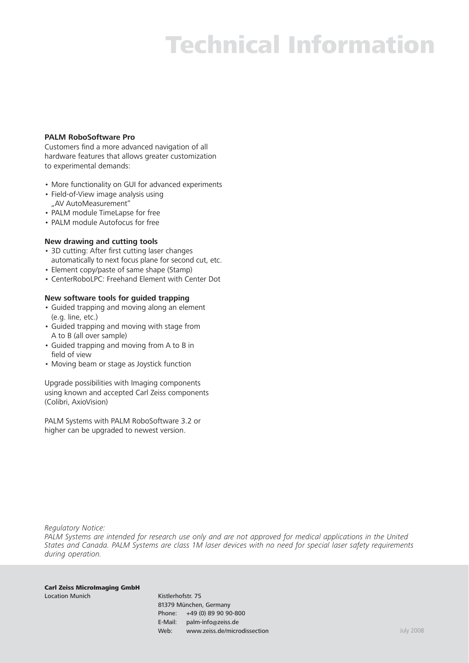#### **PALM RoboSoftware Pro**

Customers find a more advanced navigation of all hardware features that allows greater customization to experimental demands:

- More functionality on GUI for advanced experiments
- Field-of-View image analysis using "AV AutoMeasurement"
- PALM module TimeLapse for free
- PALM module Autofocus for free

### **New drawing and cutting tools**

- 3D cutting: After first cutting laser changes automatically to next focus plane for second cut, etc.
- Element copy/paste of same shape (Stamp)
- CenterRoboLPC: Freehand Element with Center Dot

### **New software tools for guided trapping**

- Guided trapping and moving along an element (e.g. line, etc.)
- Guided trapping and moving with stage from A to B (all over sample)
- Guided trapping and moving from A to B in field of view
- Moving beam or stage as Joystick function

Upgrade possibilities with Imaging components using known and accepted Carl Zeiss components (Colibri, AxioVision)

PALM Systems with PALM RoboSoftware 3.2 or higher can be upgraded to newest version.

*Regulatory Notice:*

*PALM Systems are intended for research use only and are not approved for medical applications in the United States and Canada. PALM Systems are class 1M laser devices with no need for special laser safety requirements during operation.* 

Carl Zeiss MicroImaging GmbH Location Munich **Kistlerhofstr.** 75